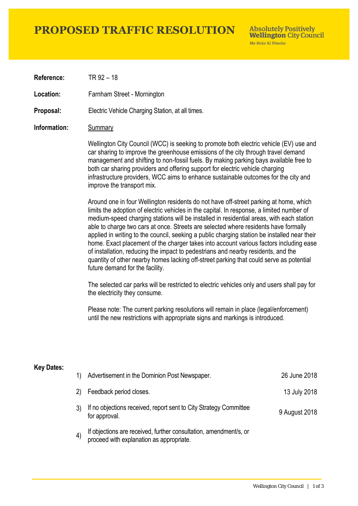# **PROPOSED TRAFFIC RESOLUTION**

**Absolutely Positively Wellington City Council** Me Heke Ki Pôneke

**Reference:** TR 92 – 18

**Location:** Farnham Street - Mornington

**Proposal:** Electric Vehicle Charging Station, at all times.

### **Information:** Summary

Wellington City Council (WCC) is seeking to promote both electric vehicle (EV) use and car sharing to improve the greenhouse emissions of the city through travel demand management and shifting to non-fossil fuels. By making parking bays available free to both car sharing providers and offering support for electric vehicle charging infrastructure providers, WCC aims to enhance sustainable outcomes for the city and improve the transport mix.

Around one in four Wellington residents do not have off-street parking at home, which limits the adoption of electric vehicles in the capital. In response, a limited number of medium-speed charging stations will be installed in residential areas, with each station able to charge two cars at once. Streets are selected where residents have formally applied in writing to the council, seeking a public charging station be installed near their home. Exact placement of the charger takes into account various factors including ease of installation, reducing the impact to pedestrians and nearby residents, and the quantity of other nearby homes lacking off-street parking that could serve as potential future demand for the facility.

The selected car parks will be restricted to electric vehicles only and users shall pay for the electricity they consume.

Please note: The current parking resolutions will remain in place (legal/enforcement) until the new restrictions with appropriate signs and markings is introduced.

### **Key Dates:**

| 1)                | Advertisement in the Dominion Post Newspaper.                                                                 | 26 June 2018  |
|-------------------|---------------------------------------------------------------------------------------------------------------|---------------|
| 2)                | Feedback period closes.                                                                                       | 13 July 2018  |
|                   | If no objections received, report sent to City Strategy Committee<br>for approval.                            | 9 August 2018 |
| $\left( 4\right)$ | If objections are received, further consultation, amendment/s, or<br>proceed with explanation as appropriate. |               |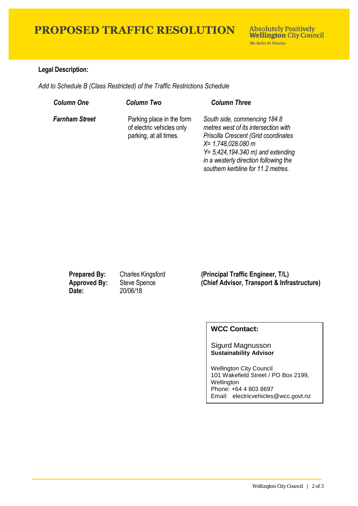# **PROPOSED TRAFFIC RESOLUTION**

## **Legal Description:**

*Add to Schedule B (Class Restricted) of the Traffic Restrictions Schedule* 

| <b>Column One</b>     | <b>Column Two</b>                                                                | <b>Column Three</b>                                                                                                                                                                                                                                       |
|-----------------------|----------------------------------------------------------------------------------|-----------------------------------------------------------------------------------------------------------------------------------------------------------------------------------------------------------------------------------------------------------|
| <b>Farnham Street</b> | Parking place in the form<br>of electric vehicles only<br>parking, at all times. | South side, commencing 184.8<br>metres west of its intersection with<br>Priscilla Crescent (Grid coordinates<br>X= 1,748,028.080 m<br>$Y = 5,424,194.340$ m) and extending<br>in a westerly direction following the<br>southern kerbline for 11.2 metres. |

**Date:** 20/06/18

**Prepared By:** Charles Kingsford **(Principal Traffic Engineer, T/L) Approved By:** Steve Spence **(Chief Advisor, Transport & Infrastructure)**

## **WCC Contact:**

#### Sigurd Magnusson **Sustainability Advisor**

Wellington City Council 101 Wakefield Street / PO Box 2199, Wellington Phone: +64 4 803 8697 Email: electricvehicles@wcc.govt.nz